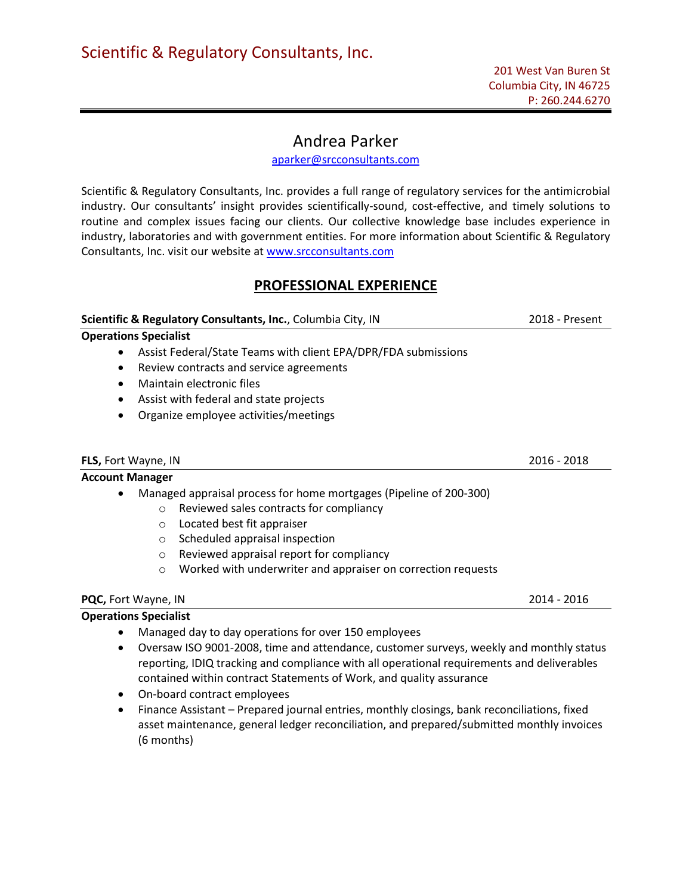## Andrea Parker

[aparker@srcconsultants.com](mailto:aparker@srcconsultants.com) 

Scientific & Regulatory Consultants, Inc. provides a full range of regulatory services for the antimicrobial industry. Our consultants' insight provides scientifically-sound, cost-effective, and timely solutions to routine and complex issues facing our clients. Our collective knowledge base includes experience in industry, laboratories and with government entities. For more information about Scientific & Regulatory Consultants, Inc. visit our website at [www.srcconsultants.com](http://www.srcconsultants.com/) 

## **PROFESSIONAL EXPERIENCE**

# **Scientific & Regulatory Consultants, Inc.**, Columbia City, IN 2018 - Present

- **Operations Specialist**
	- Assist Federal/State Teams with client EPA/DPR/FDA submissions
	- Review contracts and service agreements
	- Maintain electronic files
	- Assist with federal and state projects
	- Organize employee activities/meetings

#### **FLS,** Fort Wayne, IN 2016 - 2018

### **Account Manager**

- Managed appraisal process for home mortgages (Pipeline of 200-300)
	- o Reviewed sales contracts for compliancy
	- o Located best fit appraiser
	- o Scheduled appraisal inspection
	- o Reviewed appraisal report for compliancy
	- o Worked with underwriter and appraiser on correction requests

## **PQC,** Fort Wayne, IN 2014 - 2016

## **Operations Specialist**

- Managed day to day operations for over 150 employees
- Oversaw ISO 9001-2008, time and attendance, customer surveys, weekly and monthly status reporting, IDIQ tracking and compliance with all operational requirements and deliverables contained within contract Statements of Work, and quality assurance
- On-board contract employees
- Finance Assistant Prepared journal entries, monthly closings, bank reconciliations, fixed asset maintenance, general ledger reconciliation, and prepared/submitted monthly invoices (6 months)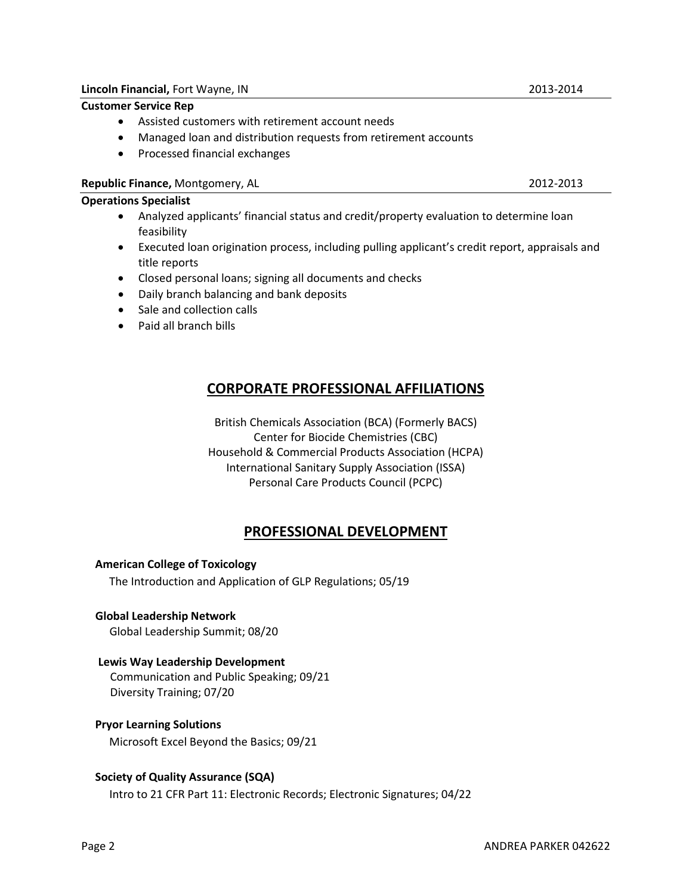#### **Lincoln Financial,** Fort Wayne, IN 2013-2014

#### **Customer Service Rep**

- Assisted customers with retirement account needs
- Managed loan and distribution requests from retirement accounts
- Processed financial exchanges

#### **Republic Finance,** Montgomery, AL 2012-2013

#### **Operations Specialist**

- Analyzed applicants' financial status and credit/property evaluation to determine loan feasibility
- Executed loan origination process, including pulling applicant's credit report, appraisals and title reports
- Closed personal loans; signing all documents and checks
- Daily branch balancing and bank deposits
- Sale and collection calls
- Paid all branch bills

## **CORPORATE PROFESSIONAL AFFILIATIONS**

British Chemicals Association (BCA) (Formerly BACS) Center for Biocide Chemistries (CBC) Household & Commercial Products Association (HCPA) International Sanitary Supply Association (ISSA) Personal Care Products Council (PCPC)

## **PROFESSIONAL DEVELOPMENT**

#### **American College of Toxicology**

The Introduction and Application of GLP Regulations; 05/19

#### **Global Leadership Network**

Global Leadership Summit; 08/20

#### **Lewis Way Leadership Development**

 Communication and Public Speaking; 09/21 Diversity Training; 07/20

#### **Pryor Learning Solutions**

Microsoft Excel Beyond the Basics; 09/21

#### **Society of Quality Assurance (SQA)**

Intro to 21 CFR Part 11: Electronic Records; Electronic Signatures; 04/22